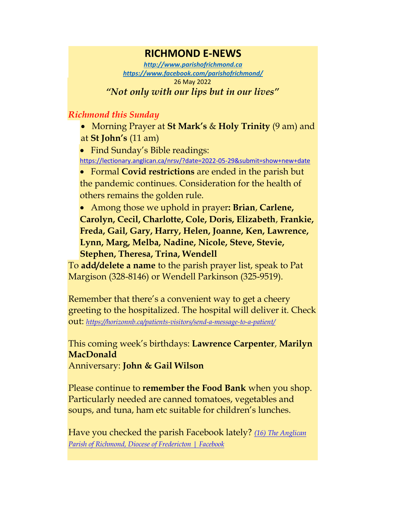## **RICHMOND E-NEWS**

*[http://www.parishofrichmond.ca](http://www.parishofrichmond.ca/) <https://www.facebook.com/parishofrichmond/>* 26 May 2022 *"Not only with our lips but in our lives"*

## *Richmond this Sunday*

• Morning Prayer at **St Mark's** & **Holy Trinity** (9 am) and at **St John's** (11 am)

• Find Sunday's Bible readings: <https://lectionary.anglican.ca/nrsv/?date=2022-05-29&submit=show+new+date>

• Formal **Covid restrictions** are ended in the parish but the pandemic continues. Consideration for the health of others remains the golden rule.

• Among those we uphold in prayer**: Brian**, **Carlene, Carolyn, Cecil, Charlotte, Cole, Doris, Elizabeth**, **Frankie, Freda, Gail, Gary, Harry, Helen, Joanne, Ken, Lawrence, Lynn, Marg, Melba, Nadine, Nicole, Steve, Stevie, Stephen, Theresa, Trina, Wendell**

To **add/delete a name** to the parish prayer list, speak to Pat Margison (328-8146) or Wendell Parkinson (325-9519).

Remember that there's a convenient way to get a cheery greeting to the hospitalized. The hospital will deliver it. Check out: *<https://horizonnb.ca/patients-visitors/send-a-message-to-a-patient/>*

This coming week's birthdays: **Lawrence Carpenter**, **Marilyn MacDonald**

Anniversary: **John & Gail Wilson**

Please continue to **remember the Food Bank** when you shop. Particularly needed are canned tomatoes, vegetables and soups, and tuna, ham etc suitable for children's lunches.

Have you checked the parish Facebook lately? *[\(16\) The Anglican](https://www.facebook.com/parishofrichmond/)  [Parish of Richmond, Diocese of Fredericton | Facebook](https://www.facebook.com/parishofrichmond/)*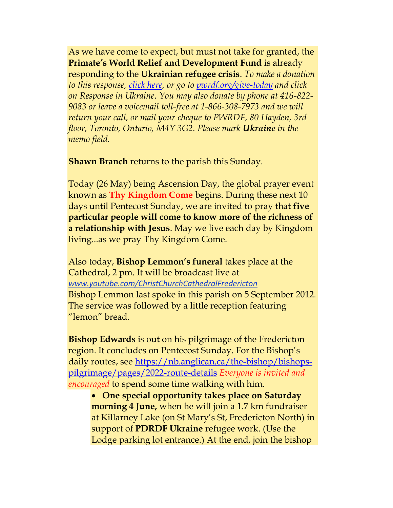As we have come to expect, but must not take for granted, the **Primate's World Relief and Development Fund** is already responding to the **Ukrainian refugee crisis**. *To make a donation to this response, [click here,](https://interland3.donorperfect.net/weblink/WebLink.aspx?name=E344492QE&id=45) or go to [pwrdf.org/give-today](https://pwrdf.org/pwrdf-supports-bc-floods-with-10000-grant/) and click on Response in Ukraine. You may also donate by phone at 416-822- 9083 or leave a voicemail toll-free at 1-866-308-7973 and we will return your call, or mail your cheque to PWRDF, 80 Hayden, 3rd floor, Toronto, Ontario, M4Y 3G2. Please mark Ukraine in the memo field.*

**Shawn Branch** returns to the parish this Sunday.

Today (26 May) being Ascension Day, the global prayer event known as **Thy Kingdom Come** begins. During these next 10 days until Pentecost Sunday, we are invited to pray that **five particular people will come to know more of the richness of a relationship with Jesus**. May we live each day by Kingdom living...as we pray Thy Kingdom Come.

Also today, **Bishop Lemmon's funeral** takes place at the Cathedral, 2 pm. It will be broadcast live at *[www.youtube.com/ChristChurchCathedralFredericton](https://u2325982.ct.sendgrid.net/ls/click?upn=ivGjvSMpV-2BSikv6h4AFVBIc7ZeuiUCW9WtGxST4cAFzMo8aLeeZNXV3kfF9JNc5VoAAYg1w5aOjWDdm0q1ua1A-3D-3D8V_-_6brdC4r4wi0ko7exSTqW-2FZLV3HbGcIX9fbJEOhOARdFNGvzrYGV4VfQXlH9LkwvDf1iZNipGo9c45dlMiguvEo3f8HbCNe1F-2Bv7ZvdrCPWdgj-2F07bAbMJjTP9Yhoa4NL0X0pNrgm0ZUQjXuCENJaPVP5mgXjmlo-2BTtahK8OVmtNXCpQxDclxs7mUEfZ-2F4rtF6S33BSWQBX1p7orAmIFxVr536WBj4b1g-2BYeRt7afPywCwSOCzxw4ZS05Kj2KTGVHcGaQqfI4flMA76BModdsijWAhH-2FnkUHdJ7MkkswDrPrkyqW3ahVpmerAGX0EC9uy)* Bishop Lemmon last spoke in this parish on 5 September 2012. The service was followed by a little reception featuring "lemon" bread.

**Bishop Edwards** is out on his pilgrimage of the Fredericton region. It concludes on Pentecost Sunday. For the Bishop's daily routes, see [https://nb.anglican.ca/the-bishop/bishops](https://nb.anglican.ca/the-bishop/bishops-pilgrimage/pages/2022-route-details)[pilgrimage/pages/2022-route-details](https://nb.anglican.ca/the-bishop/bishops-pilgrimage/pages/2022-route-details) *Everyone is invited and encouraged* to spend some time walking with him.

• **One special opportunity takes place on Saturday morning 4 June,** when he will join a 1.7 km fundraiser at Killarney Lake (on St Mary's St, Fredericton North) in support of **PDRDF Ukraine** refugee work. (Use the Lodge parking lot entrance.) At the end, join the bishop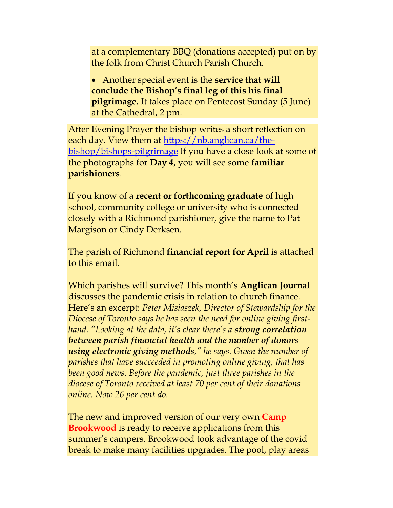at a complementary BBQ (donations accepted) put on by the folk from Christ Church Parish Church.

• Another special event is the **service that will conclude the Bishop's final leg of this his final pilgrimage.** It takes place on Pentecost Sunday (5 June) at the Cathedral, 2 pm.

After Evening Prayer the bishop writes a short reflection on each day. View them at [https://nb.anglican.ca/the](https://nb.anglican.ca/the-bishop/bishops-pilgrimage)[bishop/bishops-pilgrimage](https://nb.anglican.ca/the-bishop/bishops-pilgrimage) If you have a close look at some of the photographs for **Day 4**, you will see some **familiar parishioners**.

If you know of a **recent or forthcoming graduate** of high school, community college or university who is connected closely with a Richmond parishioner, give the name to Pat Margison or Cindy Derksen.

The parish of Richmond **financial report for April** is attached to this email.

Which parishes will survive? This month's **Anglican Journal** discusses the pandemic crisis in relation to church finance. Here's an excerpt: *Peter Misiaszek, Director of Stewardship for the Diocese of Toronto says he has seen the need for online giving firsthand. "Looking at the data, it's clear there's a strong correlation between parish financial health and the number of donors using electronic giving methods," he says. Given the number of parishes that have succeeded in promoting online giving, that has been good news. Before the pandemic, just three parishes in the diocese of Toronto received at least 70 per cent of their donations online. Now 26 per cent do.* 

The new and improved version of our very own **Camp Brookwood** is ready to receive applications from this summer's campers. Brookwood took advantage of the covid break to make many facilities upgrades. The pool, play areas